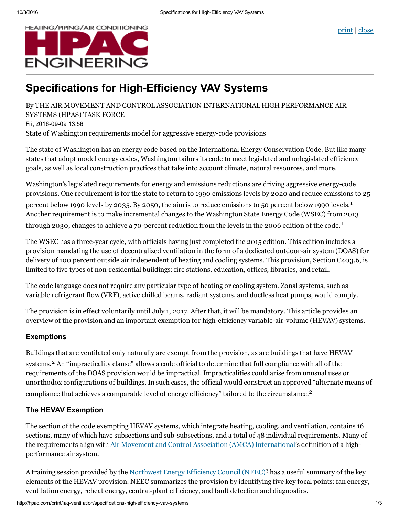



# **Specifications for High-Efficiency VAV Systems**

By THE AIR MOVEMENT AND CONTROL ASSOCIATION INTERNATIONAL HIGH PERFORMANCE AIR SYSTEMS (HPAS) TASK FORCE Fri, 2016-09-09 13:56 State of Washington requirements model for aggressive energy-code provisions

The state of Washington has an energy code based on the International Energy Conservation Code. But like many states that adopt model energy codes, Washington tailors its code to meet legislated and unlegislated efficiency goals, as well as local construction practices that take into account climate, natural resources, and more.

Washington's legislated requirements for energy and emissions reductions are driving aggressive energy-code provisions. One requirement is for the state to return to 1990 emissions levels by 2020 and reduce emissions to 25 percent below 1990 levels by 2035. By 2050, the aim is to reduce emissions to 50 percent below 1990 levels.<sup>1</sup> Another requirement is to make incremental changes to the Washington State Energy Code (WSEC) from 2013 through 2030, changes to achieve a 70-percent reduction from the levels in the 2006 edition of the code.<sup>1</sup>

The WSEC has a three-year cycle, with officials having just completed the 2015 edition. This edition includes a provision mandating the use of decentralized ventilation in the form of a dedicated outdoor-air system (DOAS) for delivery of 100 percent outside air independent of heating and cooling systems. This provision, Section C403.6, is limited to five types of non-residential buildings: fire stations, education, offices, libraries, and retail.

The code language does not require any particular type of heating or cooling system. Zonal systems, such as variable refrigerant flow (VRF), active chilled beams, radiant systems, and ductless heat pumps, would comply.

The provision is in effect voluntarily until July 1, 2017. After that, it will be mandatory. This article provides an overview of the provision and an important exemption for high-efficiency variable-air-volume (HEVAV) systems.

## **Exemptions**

Buildings that are ventilated only naturally are exempt from the provision, as are buildings that have HEVAV systems. <sup>2</sup> An "impracticality clause" allows a code official to determine that full compliance with all of the requirements of the DOAS provision would be impractical. Impracticalities could arise from unusual uses or unorthodox configurations of buildings. In such cases, the official would construct an approved "alternate means of compliance that achieves a comparable level of energy efficiency" tailored to the circumstance. 2

## The HEVAV Exemption

The section of the code exempting HEVAV systems, which integrate heating, cooling, and ventilation, contains 16 sections, many of which have subsections and sub-subsections, and a total of 48 individual requirements. Many of the requirements align with Air Movement and Control Association (AMCA) [International](http://www.amca.org/)'s definition of a highperformance air system.

A training session provided by the <u>[Northwest](http://www.neec.net/) Energy Efficiency Council (NEEC)</u><sup>3</sup> has a useful summary of the key elements of the HEVAV provision. NEEC summarizes the provision by identifying five key focal points: fan energy, ventilation energy, reheat energy, central-plant efficiency, and fault detection and diagnostics.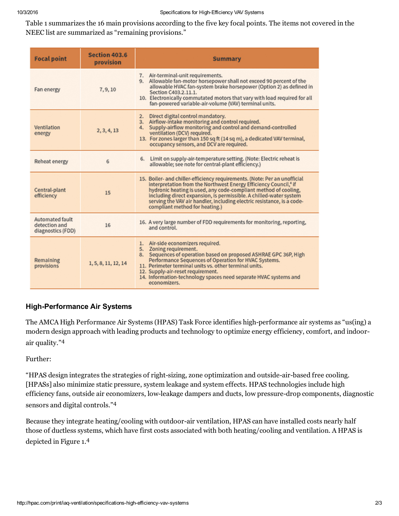Table 1 summarizes the 16 main provisions according to the five key focal points. The items not covered in the NEEC list are summarized as "remaining provisions."

| <b>Focal point</b>                                    | Section 403.6<br>provision | Summary                                                                                                                                                                                                                                                                                                                                                                                                        |
|-------------------------------------------------------|----------------------------|----------------------------------------------------------------------------------------------------------------------------------------------------------------------------------------------------------------------------------------------------------------------------------------------------------------------------------------------------------------------------------------------------------------|
| Fan energy                                            | 7, 9, 10                   | 7. Air-terminal-unit requirements.<br>9. Allowable fan-motor horsepower shall not exceed 90 percent of the<br>allowable HVAC fan-system brake horsepower (Option 2) as defined in<br>Section C403.2.11.1.<br>10. Electronically commutated motors that vary with load required for all<br>fan-powered variable-air-volume (VAV) terminal units.                                                                |
| Ventilation<br>energy                                 | 2, 3, 4, 13                | 2. Direct digital control mandatory.<br>3. Airflow-intake monitoring and control required.<br>4. Supply-airflow monitoring and control and demand-controlled<br>ventilation (DCV) required.<br>13. For zones larger than 150 sq ft (14 sq m), a dedicated VAV terminal,<br>occupancy sensors, and DCV are required.                                                                                            |
| Reheat energy                                         | 6                          | 6. Limit on supply-air-temperature setting. (Note: Electric reheat is<br>allowable; see note for central-plant efficiency.)                                                                                                                                                                                                                                                                                    |
| Central-plant<br>efficiency                           | 15                         | 15. Boiler- and chiller-efficiency requirements. (Note: Per an unofficial<br>interpretation from the Northwest Energy Efficiency Council, <sup>4</sup> if<br>hydronic heating is used, any code-compliant method of cooling,<br>including direct expansion, is permissible. A chilled-water system<br>serving the VAV air handler, including electric resistance, is a code-<br>compliant method for heating.) |
| Automated fault<br>detection and<br>diagnostics (FDD) | 16                         | 16. A very large number of FDD requirements for monitoring, reporting,<br>and control.                                                                                                                                                                                                                                                                                                                         |
| Remaining<br>provisions                               | 1, 5, 8, 11, 12, 14        | 1. Air-side economizers required.<br>5. Zoning requirement.<br>8. Sequences of operation based on proposed ASHRAE GPC 36P, High<br>Performance Sequences of Operation for HVAC Systems.<br>11. Perimeter terminal units vs. other terminal units.<br>12. Supply-air-reset requirement.<br>14. Information-technology spaces need separate HVAC systems and<br>economizers.                                     |

### **High-Performance Air Systems**

The AMCA High Performance Air Systems (HPAS) Task Force identifies high-performance air systems as "us(ing) a modern design approach with leading products and technology to optimize energy efficiency, comfort, and indoorair quality." 4

Further:

"HPAS design integrates the strategies of right-sizing, zone optimization and outside-air-based free cooling. [HPASs] also minimize static pressure, system leakage and system effects. HPAS technologies include high efficiency fans, outside air economizers, low-leakage dampers and ducts, low pressure-drop components, diagnostic sensors and digital controls." 4

Because they integrate heating/cooling with outdoor-air ventilation, HPAS can have installed costs nearly half those of ductless systems, which have first costs associated with both heating/cooling and ventilation. A HPAS is depicted in Figure 1. 4